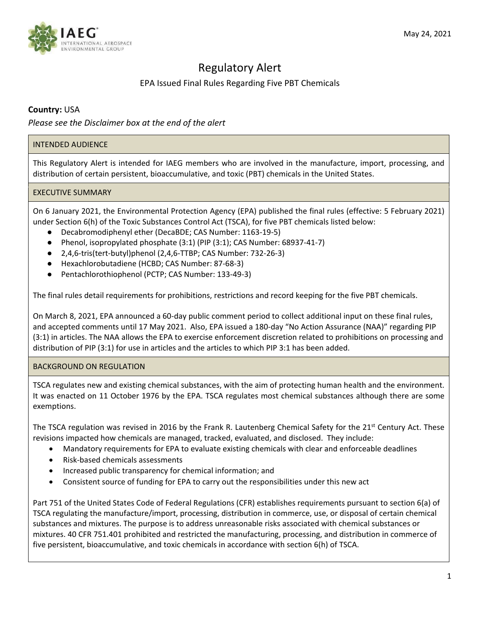

# Regulatory Alert

# EPA Issued Final Rules Regarding Five PBT Chemicals

# **Country:** USA

*Please see the Disclaimer box at the end of the alert*

# INTENDED AUDIENCE

This Regulatory Alert is intended for IAEG members who are involved in the manufacture, import, processing, and distribution of certain persistent, bioaccumulative, and toxic (PBT) chemicals in the United States.

# EXECUTIVE SUMMARY

On 6 January 2021, the Environmental Protection Agency (EPA) published the final rules (effective: 5 February 2021) under Section 6(h) of the Toxic Substances Control Act (TSCA), for five PBT chemicals listed below:

- Decabromodiphenyl ether (DecaBDE; CAS Number: 1163-19-5)
- Phenol, isopropylated phosphate (3:1) (PIP (3:1); CAS Number: 68937-41-7)
- 2,4,6-tris(tert-butyl)phenol (2,4,6-TTBP; CAS Number: 732-26-3)
- Hexachlorobutadiene (HCBD; CAS Number: 87-68-3)
- Pentachlorothiophenol (PCTP; CAS Number: 133-49-3)

The final rules detail requirements for prohibitions, restrictions and record keeping for the five PBT chemicals.

On March 8, 2021, EPA announced a 60-day public comment period to collect additional input on these final rules, and accepted comments until 17 May 2021. Also, EPA issued a 180-day "No Action Assurance (NAA)" regarding PIP (3:1) in articles. The NAA allows the EPA to exercise enforcement discretion related to prohibitions on processing and distribution of PIP (3:1) for use in articles and the articles to which PIP 3:1 has been added.

# BACKGROUND ON REGULATION

TSCA regulates new and existing chemical substances, with the aim of protecting human health and the environment. It was enacted on 11 October 1976 by the EPA. TSCA regulates most chemical substances although there are some exemptions.

The TSCA regulation was revised in 2016 by the Frank R. Lautenberg Chemical Safety for the 21<sup>st</sup> Century Act. These revisions impacted how chemicals are managed, tracked, evaluated, and disclosed. They include:

- Mandatory requirements for EPA to evaluate existing chemicals with clear and enforceable deadlines
- Risk-based chemicals assessments
- Increased public transparency for chemical information; and
- Consistent source of funding for EPA to carry out the responsibilities under this new act

Part 751 of the United States Code of Federal Regulations (CFR) establishes requirements pursuant to section 6(a) of TSCA regulating the manufacture/import, processing, distribution in commerce, use, or disposal of certain chemical substances and mixtures. The purpose is to address unreasonable risks associated with chemical substances or mixtures. 40 CFR 751.401 prohibited and restricted the manufacturing, processing, and distribution in commerce of five persistent, bioaccumulative, and toxic chemicals in accordance with section 6(h) of TSCA.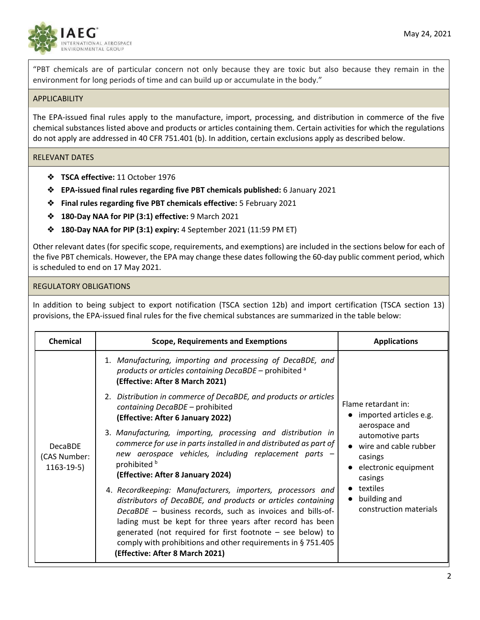

"PBT chemicals are of particular concern not only because they are toxic but also because they remain in the environment for long periods of time and can build up or accumulate in the body."

#### **APPLICABILITY**

The EPA-issued final rules apply to the manufacture, import, processing, and distribution in commerce of the five chemical substances listed above and products or articles containing them. Certain activities for which the regulations do not apply are addressed in 40 CFR 751.401 (b). In addition, certain exclusions apply as described below.

#### RELEVANT DATES

- ❖ **TSCA effective:** 11 October 1976
- ❖ **EPA-issued final rules regarding five PBT chemicals published:** 6 January 2021
- ❖ **Final rules regarding five PBT chemicals effective:** 5 February 2021
- ❖ **180-Day NAA for PIP (3:1) effective:** 9 March 2021
- ❖ **180-Day NAA for PIP (3:1) expiry:** 4 September 2021 (11:59 PM ET)

Other relevant dates (for specific scope, requirements, and exemptions) are included in the sections below for each of the five PBT chemicals. However, the EPA may change these dates following the 60-day public comment period, which is scheduled to end on 17 May 2021.

#### REGULATORY OBLIGATIONS

In addition to being subject to export notification (TSCA section 12b) and import certification (TSCA section 13) provisions, the EPA-issued final rules for the five chemical substances are summarized in the table below:

| <b>Chemical</b>                               | <b>Scope, Requirements and Exemptions</b>                                                                                                                                                                                                                                                                                                                                                                               | <b>Applications</b>                                                                                                                                                                                             |
|-----------------------------------------------|-------------------------------------------------------------------------------------------------------------------------------------------------------------------------------------------------------------------------------------------------------------------------------------------------------------------------------------------------------------------------------------------------------------------------|-----------------------------------------------------------------------------------------------------------------------------------------------------------------------------------------------------------------|
| <b>DecaBDE</b><br>(CAS Number:<br>$1163-19-5$ | 1. Manufacturing, importing and processing of DecaBDE, and<br>products or articles containing DecaBDE - prohibited <sup>a</sup><br>(Effective: After 8 March 2021)                                                                                                                                                                                                                                                      | Flame retardant in:<br>imported articles e.g.<br>aerospace and<br>automotive parts<br>wire and cable rubber<br>casings<br>electronic equipment<br>casings<br>textiles<br>building and<br>construction materials |
|                                               | 2. Distribution in commerce of DecaBDE, and products or articles<br>containing DecaBDE - prohibited<br>(Effective: After 6 January 2022)                                                                                                                                                                                                                                                                                |                                                                                                                                                                                                                 |
|                                               | 3. Manufacturing, importing, processing and distribution in<br>commerce for use in parts installed in and distributed as part of<br>new aerospace vehicles, including replacement parts -<br>prohibited b<br>(Effective: After 8 January 2024)                                                                                                                                                                          |                                                                                                                                                                                                                 |
|                                               | 4. Recordkeeping: Manufacturers, importers, processors and<br>distributors of DecaBDE, and products or articles containing<br>DecaBDE - business records, such as invoices and bills-of-<br>lading must be kept for three years after record has been<br>generated (not required for first footnote $-$ see below) to<br>comply with prohibitions and other requirements in §751.405<br>(Effective: After 8 March 2021) |                                                                                                                                                                                                                 |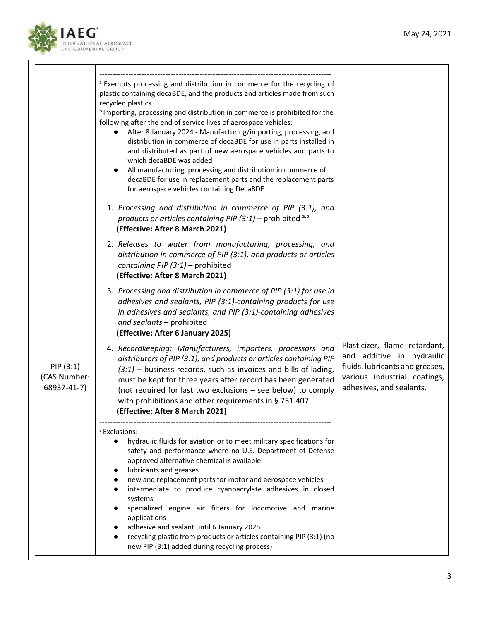

|                                         | <sup>a</sup> Exempts processing and distribution in commerce for the recycling of<br>plastic containing decaBDE, and the products and articles made from such<br>recycled plastics<br><sup>b</sup> Importing, processing and distribution in commerce is prohibited for the<br>following after the end of service lives of aerospace vehicles:<br>After 8 January 2024 - Manufacturing/importing, processing, and<br>distribution in commerce of decaBDE for use in parts installed in<br>and distributed as part of new aerospace vehicles and parts to<br>which decaBDE was added                                            |                                                                                                                                                           |
|-----------------------------------------|--------------------------------------------------------------------------------------------------------------------------------------------------------------------------------------------------------------------------------------------------------------------------------------------------------------------------------------------------------------------------------------------------------------------------------------------------------------------------------------------------------------------------------------------------------------------------------------------------------------------------------|-----------------------------------------------------------------------------------------------------------------------------------------------------------|
|                                         | All manufacturing, processing and distribution in commerce of<br>decaBDE for use in replacement parts and the replacement parts<br>for aerospace vehicles containing DecaBDE                                                                                                                                                                                                                                                                                                                                                                                                                                                   |                                                                                                                                                           |
|                                         | 1. Processing and distribution in commerce of PIP (3:1), and<br>products or articles containing PIP (3:1) – prohibited a,b<br>(Effective: After 8 March 2021)                                                                                                                                                                                                                                                                                                                                                                                                                                                                  |                                                                                                                                                           |
| PIP(3:1)<br>(CAS Number:<br>68937-41-7) | 2. Releases to water from manufacturing, processing, and<br>distribution in commerce of PIP (3:1), and products or articles<br>containing PIP $(3:1)$ – prohibited<br>(Effective: After 8 March 2021)                                                                                                                                                                                                                                                                                                                                                                                                                          |                                                                                                                                                           |
|                                         | 3. Processing and distribution in commerce of PIP (3:1) for use in<br>adhesives and sealants, PIP (3:1)-containing products for use<br>in adhesives and sealants, and PIP (3:1)-containing adhesives<br>and sealants - prohibited<br>(Effective: After 6 January 2025)                                                                                                                                                                                                                                                                                                                                                         |                                                                                                                                                           |
|                                         | 4. Recordkeeping: Manufacturers, importers, processors and<br>distributors of PIP (3:1), and products or articles containing PIP<br>$(3:1)$ – business records, such as invoices and bills-of-lading,<br>must be kept for three years after record has been generated<br>(not required for last two exclusions - see below) to comply<br>with prohibitions and other requirements in § 751.407<br>(Effective: After 8 March 2021)                                                                                                                                                                                              | Plasticizer, flame retardant,<br>and additive in hydraulic<br>fluids, lubricants and greases,<br>various industrial coatings,<br>adhesives, and sealants. |
|                                         | <sup>a</sup> Exclusions:<br>hydraulic fluids for aviation or to meet military specifications for<br>safety and performance where no U.S. Department of Defense<br>approved alternative chemical is available<br>lubricants and greases<br>new and replacement parts for motor and aerospace vehicles<br>intermediate to produce cyanoacrylate adhesives in closed<br>systems<br>specialized engine air filters for locomotive and marine<br>applications<br>adhesive and sealant until 6 January 2025<br>recycling plastic from products or articles containing PIP (3:1) (no<br>new PIP (3:1) added during recycling process) |                                                                                                                                                           |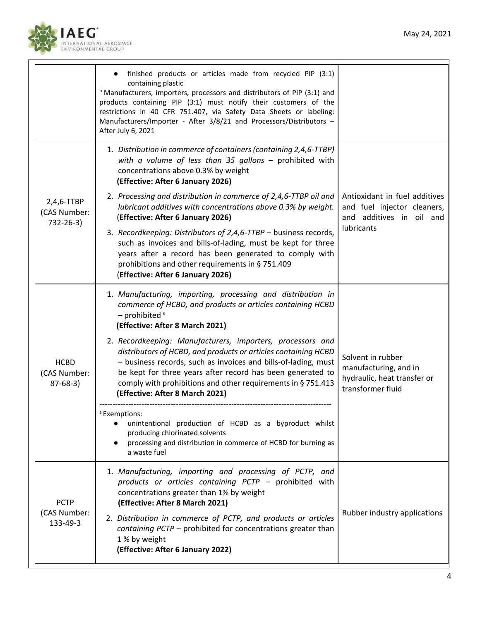

|                                           | finished products or articles made from recycled PIP (3:1)<br>containing plastic<br><sup>b</sup> Manufacturers, importers, processors and distributors of PIP (3:1) and<br>products containing PIP (3:1) must notify their customers of the<br>restrictions in 40 CFR 751.407, via Safety Data Sheets or labeling:<br>Manufacturers/Importer - After 3/8/21 and Processors/Distributors -<br>After July 6, 2021                                                                                                                                                                                                                                                                                                                                                              |                                                                                                        |
|-------------------------------------------|------------------------------------------------------------------------------------------------------------------------------------------------------------------------------------------------------------------------------------------------------------------------------------------------------------------------------------------------------------------------------------------------------------------------------------------------------------------------------------------------------------------------------------------------------------------------------------------------------------------------------------------------------------------------------------------------------------------------------------------------------------------------------|--------------------------------------------------------------------------------------------------------|
| 2,4,6-TTBP<br>(CAS Number:<br>732-26-3)   | 1. Distribution in commerce of containers (containing 2,4,6-TTBP)<br>with a volume of less than 35 gallons $-$ prohibited with<br>concentrations above 0.3% by weight<br>(Effective: After 6 January 2026)<br>2. Processing and distribution in commerce of 2,4,6-TTBP oil and<br>lubricant additives with concentrations above 0.3% by weight.<br>(Effective: After 6 January 2026)<br>3. Recordkeeping: Distributors of 2,4,6-TTBP - business records,<br>such as invoices and bills-of-lading, must be kept for three<br>years after a record has been generated to comply with<br>prohibitions and other requirements in § 751.409<br>(Effective: After 6 January 2026)                                                                                                  | Antioxidant in fuel additives<br>and fuel injector cleaners,<br>and additives in oil and<br>lubricants |
| <b>HCBD</b><br>(CAS Number:<br>$87-68-3)$ | 1. Manufacturing, importing, processing and distribution in<br>commerce of HCBD, and products or articles containing HCBD<br>$-$ prohibited $a$<br>(Effective: After 8 March 2021)<br>2. Recordkeeping: Manufacturers, importers, processors and<br>distributors of HCBD, and products or articles containing HCBD<br>- business records, such as invoices and bills-of-lading, must<br>be kept for three years after record has been generated to<br>comply with prohibitions and other requirements in § 751.413<br>(Effective: After 8 March 2021)<br><sup>a</sup> Exemptions:<br>unintentional production of HCBD as a byproduct whilst<br>$\bullet$<br>producing chlorinated solvents<br>processing and distribution in commerce of HCBD for burning as<br>a waste fuel | Solvent in rubber<br>manufacturing, and in<br>hydraulic, heat transfer or<br>transformer fluid         |
| <b>PCTP</b><br>(CAS Number:<br>133-49-3   | 1. Manufacturing, importing and processing of PCTP, and<br>products or articles containing PCTP - prohibited with<br>concentrations greater than 1% by weight<br>(Effective: After 8 March 2021)<br>2. Distribution in commerce of PCTP, and products or articles<br>containing PCTP - prohibited for concentrations greater than<br>1 % by weight<br>(Effective: After 6 January 2022)                                                                                                                                                                                                                                                                                                                                                                                      | Rubber industry applications                                                                           |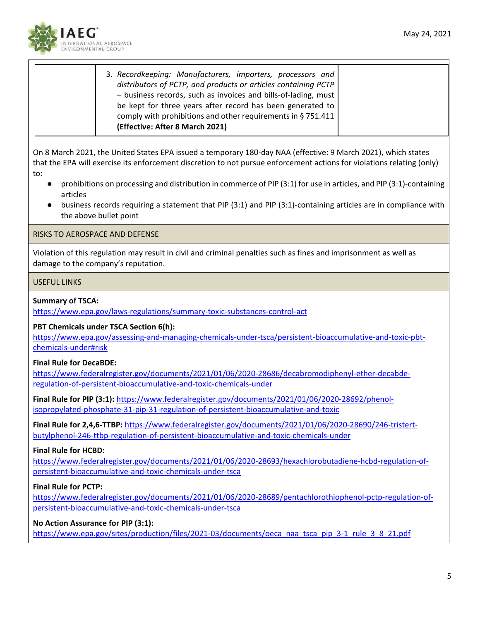

| 3. Recordkeeping: Manufacturers, importers, processors and     |
|----------------------------------------------------------------|
| distributors of PCTP, and products or articles containing PCTP |
|                                                                |
| - business records, such as invoices and bills-of-lading, must |
| be kept for three years after record has been generated to     |
| comply with prohibitions and other requirements in § 751.411   |
| (Effective: After 8 March 2021)                                |
|                                                                |

On 8 March 2021, the United States EPA issued a temporary 180-day NAA (effective: 9 March 2021), which states that the EPA will exercise its enforcement discretion to not pursue enforcement actions for violations relating (only) to:

- prohibitions on processing and distribution in commerce of PIP (3:1) for use in articles, and PIP (3:1)-containing articles
- business records requiring a statement that PIP (3:1) and PIP (3:1)-containing articles are in compliance with the above bullet point

# RISKS TO AEROSPACE AND DEFENSE

Violation of this regulation may result in civil and criminal penalties such as fines and imprisonment as well as damage to the company's reputation.

#### USEFUL LINKS

#### **Summary of TSCA:**

<https://www.epa.gov/laws-regulations/summary-toxic-substances-control-act>

#### **PBT Chemicals under TSCA Section 6(h):**

[https://www.epa.gov/assessing-and-managing-chemicals-under-tsca/persistent-bioaccumulative-and-toxic-pbt](https://www.epa.gov/assessing-and-managing-chemicals-under-tsca/persistent-bioaccumulative-and-toxic-pbt-chemicals-under#risk)[chemicals-under#risk](https://www.epa.gov/assessing-and-managing-chemicals-under-tsca/persistent-bioaccumulative-and-toxic-pbt-chemicals-under#risk)

# **Final Rule for DecaBDE:**

[https://www.federalregister.gov/documents/2021/01/06/2020-28686/decabromodiphenyl-ether-decabde](https://www.federalregister.gov/documents/2021/01/06/2020-28686/decabromodiphenyl-ether-decabde-regulation-of-persistent-bioaccumulative-and-toxic-chemicals-under)[regulation-of-persistent-bioaccumulative-and-toxic-chemicals-under](https://www.federalregister.gov/documents/2021/01/06/2020-28686/decabromodiphenyl-ether-decabde-regulation-of-persistent-bioaccumulative-and-toxic-chemicals-under)

**Final Rule for PIP (3:1):** [https://www.federalregister.gov/documents/2021/01/06/2020-28692/phenol](https://www.federalregister.gov/documents/2021/01/06/2020-28692/phenol-isopropylated-phosphate-31-pip-31-regulation-of-persistent-bioaccumulative-and-toxic)[isopropylated-phosphate-31-pip-31-regulation-of-persistent-bioaccumulative-and-toxic](https://www.federalregister.gov/documents/2021/01/06/2020-28692/phenol-isopropylated-phosphate-31-pip-31-regulation-of-persistent-bioaccumulative-and-toxic)

**Final Rule for 2,4,6-TTBP:** [https://www.federalregister.gov/documents/2021/01/06/2020-28690/246-tristert](https://www.federalregister.gov/documents/2021/01/06/2020-28690/246-tristert-butylphenol-246-ttbp-regulation-of-persistent-bioaccumulative-and-toxic-chemicals-under)[butylphenol-246-ttbp-regulation-of-persistent-bioaccumulative-and-toxic-chemicals-under](https://www.federalregister.gov/documents/2021/01/06/2020-28690/246-tristert-butylphenol-246-ttbp-regulation-of-persistent-bioaccumulative-and-toxic-chemicals-under)

# **Final Rule for HCBD:**

[https://www.federalregister.gov/documents/2021/01/06/2020-28693/hexachlorobutadiene-hcbd-regulation-of](https://www.federalregister.gov/documents/2021/01/06/2020-28693/hexachlorobutadiene-hcbd-regulation-of-persistent-bioaccumulative-and-toxic-chemicals-under-tsca)[persistent-bioaccumulative-and-toxic-chemicals-under-tsca](https://www.federalregister.gov/documents/2021/01/06/2020-28693/hexachlorobutadiene-hcbd-regulation-of-persistent-bioaccumulative-and-toxic-chemicals-under-tsca)

# **Final Rule for PCTP:**

[https://www.federalregister.gov/documents/2021/01/06/2020-28689/pentachlorothiophenol-pctp-regulation-of](https://www.federalregister.gov/documents/2021/01/06/2020-28689/pentachlorothiophenol-pctp-regulation-of-persistent-bioaccumulative-and-toxic-chemicals-under-tsca)[persistent-bioaccumulative-and-toxic-chemicals-under-tsca](https://www.federalregister.gov/documents/2021/01/06/2020-28689/pentachlorothiophenol-pctp-regulation-of-persistent-bioaccumulative-and-toxic-chemicals-under-tsca)

# **No Action Assurance for PIP (3:1):**

[https://www.epa.gov/sites/production/files/2021-03/documents/oeca\\_naa\\_tsca\\_pip\\_3-1\\_rule\\_3\\_8\\_21.pdf](https://www.epa.gov/sites/production/files/2021-03/documents/oeca_naa_tsca_pip_3-1_rule_3_8_21.pdf)